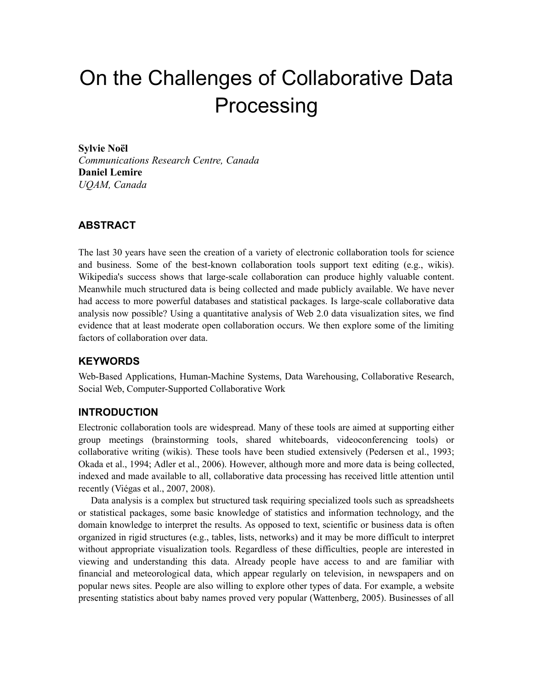# On the Challenges of Collaborative Data Processing

**Sylvie Noël** *Communications Research Centre, Canada* **Daniel Lemire** *UQAM, Canada*

## **ABSTRACT**

The last 30 years have seen the creation of a variety of electronic collaboration tools for science and business. Some of the best-known collaboration tools support text editing (e.g., wikis). Wikipedia's success shows that large-scale collaboration can produce highly valuable content. Meanwhile much structured data is being collected and made publicly available. We have never had access to more powerful databases and statistical packages. Is large-scale collaborative data analysis now possible? Using a quantitative analysis of Web 2.0 data visualization sites, we find evidence that at least moderate open collaboration occurs. We then explore some of the limiting factors of collaboration over data.

## **KEYWORDS**

Web-Based Applications, Human-Machine Systems, Data Warehousing, Collaborative Research, Social Web, Computer-Supported Collaborative Work

## **INTRODUCTION**

Electronic collaboration tools are widespread. Many of these tools are aimed at supporting either group meetings (brainstorming tools, shared whiteboards, videoconferencing tools) or collaborative writing (wikis). These tools have been studied extensively (Pedersen et al., 1993; Okada et al., 1994; Adler et al., 2006). However, although more and more data is being collected, indexed and made available to all, collaborative data processing has received little attention until recently (Viégas et al., 2007, 2008).

Data analysis is a complex but structured task requiring specialized tools such as spreadsheets or statistical packages, some basic knowledge of statistics and information technology, and the domain knowledge to interpret the results. As opposed to text, scientific or business data is often organized in rigid structures (e.g., tables, lists, networks) and it may be more difficult to interpret without appropriate visualization tools. Regardless of these difficulties, people are interested in viewing and understanding this data. Already people have access to and are familiar with financial and meteorological data, which appear regularly on television, in newspapers and on popular news sites. People are also willing to explore other types of data. For example, a website presenting statistics about baby names proved very popular (Wattenberg, 2005). Businesses of all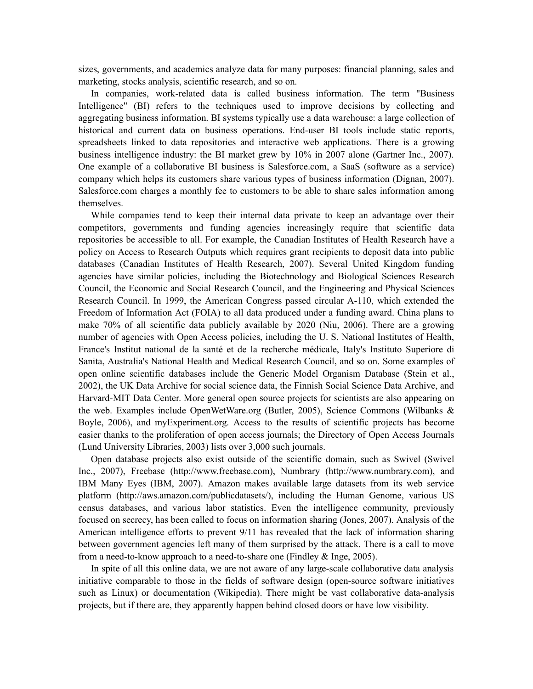sizes, governments, and academics analyze data for many purposes: financial planning, sales and marketing, stocks analysis, scientific research, and so on.

In companies, work-related data is called business information. The term "Business Intelligence" (BI) refers to the techniques used to improve decisions by collecting and aggregating business information. BI systems typically use a data warehouse: a large collection of historical and current data on business operations. End-user BI tools include static reports, spreadsheets linked to data repositories and interactive web applications. There is a growing business intelligence industry: the BI market grew by 10% in 2007 alone (Gartner Inc., 2007). One example of a collaborative BI business is Salesforce.com, a SaaS (software as a service) company which helps its customers share various types of business information (Dignan, 2007). Salesforce.com charges a monthly fee to customers to be able to share sales information among themselves.

While companies tend to keep their internal data private to keep an advantage over their competitors, governments and funding agencies increasingly require that scientific data repositories be accessible to all. For example, the Canadian Institutes of Health Research have a policy on Access to Research Outputs which requires grant recipients to deposit data into public databases (Canadian Institutes of Health Research, 2007). Several United Kingdom funding agencies have similar policies, including the Biotechnology and Biological Sciences Research Council, the Economic and Social Research Council, and the Engineering and Physical Sciences Research Council. In 1999, the American Congress passed circular A-110, which extended the Freedom of Information Act (FOIA) to all data produced under a funding award. China plans to make 70% of all scientific data publicly available by 2020 (Niu, 2006). There are a growing number of agencies with Open Access policies, including the U. S. National Institutes of Health, France's Institut national de la santé et de la recherche médicale, Italy's Instituto Superiore di Sanita, Australia's National Health and Medical Research Council, and so on. Some examples of open online scientific databases include the Generic Model Organism Database (Stein et al., 2002), the UK Data Archive for social science data, the Finnish Social Science Data Archive, and Harvard-MIT Data Center. More general open source projects for scientists are also appearing on the web. Examples include OpenWetWare.org (Butler, 2005), Science Commons (Wilbanks & Boyle, 2006), and myExperiment.org. Access to the results of scientific projects has become easier thanks to the proliferation of open access journals; the Directory of Open Access Journals (Lund University Libraries, 2003) lists over 3,000 such journals.

Open database projects also exist outside of the scientific domain, such as Swivel (Swivel Inc., 2007), Freebase (http://www.freebase.com), Numbrary (http://www.numbrary.com), and IBM Many Eyes (IBM, 2007). Amazon makes available large datasets from its web service platform (http://aws.amazon.com/publicdatasets/), including the Human Genome, various US census databases, and various labor statistics. Even the intelligence community, previously focused on secrecy, has been called to focus on information sharing (Jones, 2007). Analysis of the American intelligence efforts to prevent 9/11 has revealed that the lack of information sharing between government agencies left many of them surprised by the attack. There is a call to move from a need-to-know approach to a need-to-share one (Findley & Inge, 2005).

In spite of all this online data, we are not aware of any large-scale collaborative data analysis initiative comparable to those in the fields of software design (open-source software initiatives such as Linux) or documentation (Wikipedia). There might be vast collaborative data-analysis projects, but if there are, they apparently happen behind closed doors or have low visibility.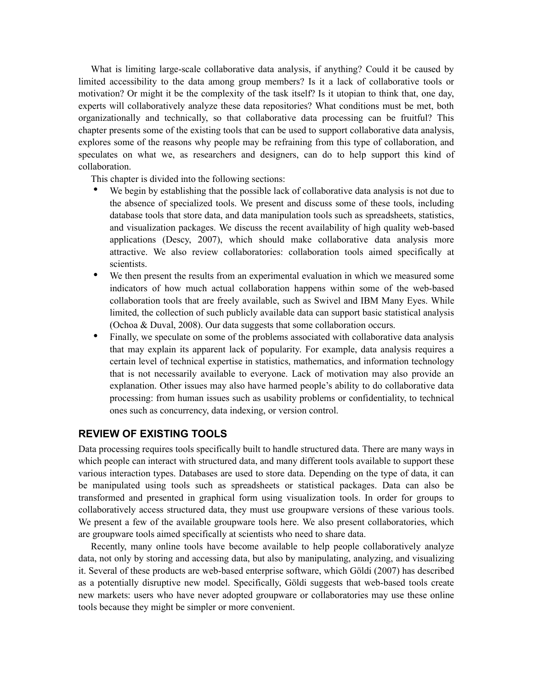What is limiting large-scale collaborative data analysis, if anything? Could it be caused by limited accessibility to the data among group members? Is it a lack of collaborative tools or motivation? Or might it be the complexity of the task itself? Is it utopian to think that, one day, experts will collaboratively analyze these data repositories? What conditions must be met, both organizationally and technically, so that collaborative data processing can be fruitful? This chapter presents some of the existing tools that can be used to support collaborative data analysis, explores some of the reasons why people may be refraining from this type of collaboration, and speculates on what we, as researchers and designers, can do to help support this kind of collaboration.

This chapter is divided into the following sections:

- We begin by establishing that the possible lack of collaborative data analysis is not due to the absence of specialized tools. We present and discuss some of these tools, including database tools that store data, and data manipulation tools such as spreadsheets, statistics, and visualization packages. We discuss the recent availability of high quality web-based applications (Descy, 2007), which should make collaborative data analysis more attractive. We also review collaboratories: collaboration tools aimed specifically at scientists.
- We then present the results from an experimental evaluation in which we measured some indicators of how much actual collaboration happens within some of the web-based collaboration tools that are freely available, such as Swivel and IBM Many Eyes. While limited, the collection of such publicly available data can support basic statistical analysis (Ochoa & Duval, 2008). Our data suggests that some collaboration occurs.
- Finally, we speculate on some of the problems associated with collaborative data analysis that may explain its apparent lack of popularity. For example, data analysis requires a certain level of technical expertise in statistics, mathematics, and information technology that is not necessarily available to everyone. Lack of motivation may also provide an explanation. Other issues may also have harmed people's ability to do collaborative data processing: from human issues such as usability problems or confidentiality, to technical ones such as concurrency, data indexing, or version control.

## **REVIEW OF EXISTING TOOLS**

Data processing requires tools specifically built to handle structured data. There are many ways in which people can interact with structured data, and many different tools available to support these various interaction types. Databases are used to store data. Depending on the type of data, it can be manipulated using tools such as spreadsheets or statistical packages. Data can also be transformed and presented in graphical form using visualization tools. In order for groups to collaboratively access structured data, they must use groupware versions of these various tools. We present a few of the available groupware tools here. We also present collaboratories, which are groupware tools aimed specifically at scientists who need to share data.

Recently, many online tools have become available to help people collaboratively analyze data, not only by storing and accessing data, but also by manipulating, analyzing, and visualizing it. Several of these products are web-based enterprise software, which Göldi (2007) has described as a potentially disruptive new model. Specifically, Göldi suggests that web-based tools create new markets: users who have never adopted groupware or collaboratories may use these online tools because they might be simpler or more convenient.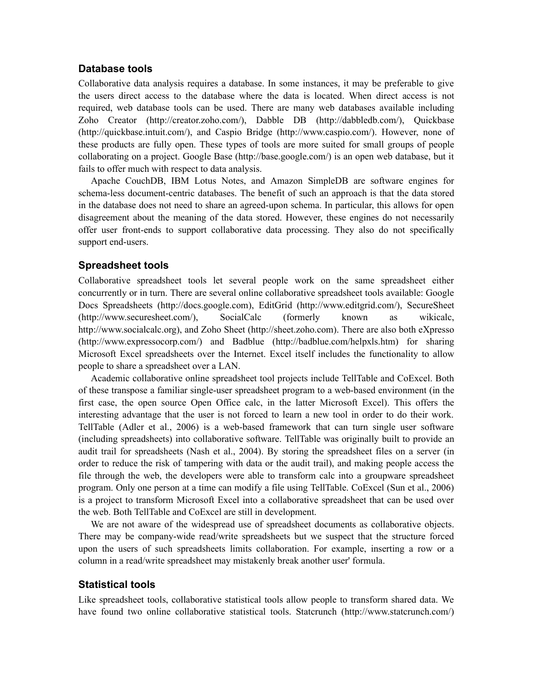## **Database tools**

Collaborative data analysis requires a database. In some instances, it may be preferable to give the users direct access to the database where the data is located. When direct access is not required, web database tools can be used. There are many web databases available including Zoho Creator (http://creator.zoho.com/), Dabble DB (http://dabbledb.com/), Quickbase (http://quickbase.intuit.com/), and Caspio Bridge (http://www.caspio.com/). However, none of these products are fully open. These types of tools are more suited for small groups of people collaborating on a project. Google Base (http://base.google.com/) is an open web database, but it fails to offer much with respect to data analysis.

Apache CouchDB, IBM Lotus Notes, and Amazon SimpleDB are software engines for schema-less document-centric databases. The benefit of such an approach is that the data stored in the database does not need to share an agreed-upon schema. In particular, this allows for open disagreement about the meaning of the data stored. However, these engines do not necessarily offer user front-ends to support collaborative data processing. They also do not specifically support end-users.

## **Spreadsheet tools**

Collaborative spreadsheet tools let several people work on the same spreadsheet either concurrently or in turn. There are several online collaborative spreadsheet tools available: Google Docs Spreadsheets (http://docs.google.com), EditGrid (http://www.editgrid.com/), SecureSheet (http://www.securesheet.com/), SocialCalc (formerly known as wikicalc, http://www.socialcalc.org), and Zoho Sheet (http://sheet.zoho.com). There are also both eXpresso (http://www.expressocorp.com/) and Badblue (http://badblue.com/helpxls.htm) for sharing Microsoft Excel spreadsheets over the Internet. Excel itself includes the functionality to allow people to share a spreadsheet over a LAN.

Academic collaborative online spreadsheet tool projects include TellTable and CoExcel. Both of these transpose a familiar single-user spreadsheet program to a web-based environment (in the first case, the open source Open Office calc, in the latter Microsoft Excel). This offers the interesting advantage that the user is not forced to learn a new tool in order to do their work. TellTable (Adler et al., 2006) is a web-based framework that can turn single user software (including spreadsheets) into collaborative software. TellTable was originally built to provide an audit trail for spreadsheets (Nash et al., 2004). By storing the spreadsheet files on a server (in order to reduce the risk of tampering with data or the audit trail), and making people access the file through the web, the developers were able to transform calc into a groupware spreadsheet program. Only one person at a time can modify a file using TellTable. CoExcel (Sun et al., 2006) is a project to transform Microsoft Excel into a collaborative spreadsheet that can be used over the web. Both TellTable and CoExcel are still in development.

We are not aware of the widespread use of spreadsheet documents as collaborative objects. There may be company-wide read/write spreadsheets but we suspect that the structure forced upon the users of such spreadsheets limits collaboration. For example, inserting a row or a column in a read/write spreadsheet may mistakenly break another user' formula.

#### **Statistical tools**

Like spreadsheet tools, collaborative statistical tools allow people to transform shared data. We have found two online collaborative statistical tools. Statcrunch (http://www.statcrunch.com/)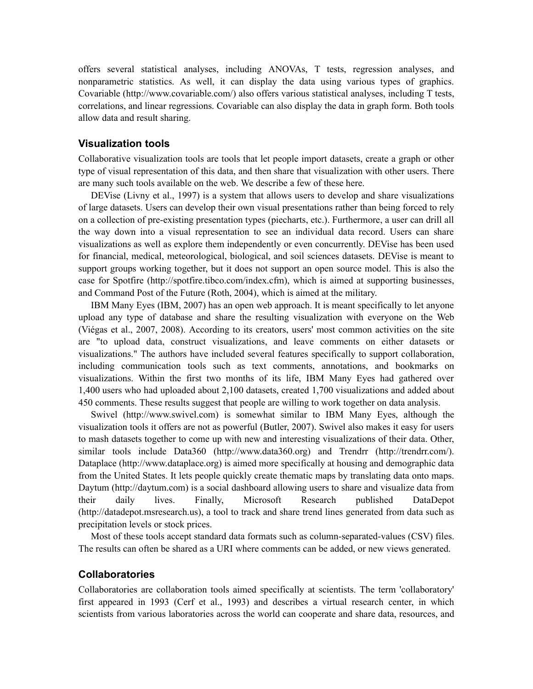offers several statistical analyses, including ANOVAs, T tests, regression analyses, and nonparametric statistics. As well, it can display the data using various types of graphics. Covariable (http://www.covariable.com/) also offers various statistical analyses, including T tests, correlations, and linear regressions. Covariable can also display the data in graph form. Both tools allow data and result sharing.

## **Visualization tools**

Collaborative visualization tools are tools that let people import datasets, create a graph or other type of visual representation of this data, and then share that visualization with other users. There are many such tools available on the web. We describe a few of these here.

DEVise (Livny et al., 1997) is a system that allows users to develop and share visualizations of large datasets. Users can develop their own visual presentations rather than being forced to rely on a collection of pre-existing presentation types (piecharts, etc.). Furthermore, a user can drill all the way down into a visual representation to see an individual data record. Users can share visualizations as well as explore them independently or even concurrently. DEVise has been used for financial, medical, meteorological, biological, and soil sciences datasets. DEVise is meant to support groups working together, but it does not support an open source model. This is also the case for Spotfire (http://spotfire.tibco.com/index.cfm), which is aimed at supporting businesses, and Command Post of the Future (Roth, 2004), which is aimed at the military.

IBM Many Eyes (IBM, 2007) has an open web approach. It is meant specifically to let anyone upload any type of database and share the resulting visualization with everyone on the Web (Viégas et al., 2007, 2008). According to its creators, users' most common activities on the site are "to upload data, construct visualizations, and leave comments on either datasets or visualizations." The authors have included several features specifically to support collaboration, including communication tools such as text comments, annotations, and bookmarks on visualizations. Within the first two months of its life, IBM Many Eyes had gathered over 1,400 users who had uploaded about 2,100 datasets, created 1,700 visualizations and added about 450 comments. These results suggest that people are willing to work together on data analysis.

Swivel (http://www.swivel.com) is somewhat similar to IBM Many Eyes, although the visualization tools it offers are not as powerful (Butler, 2007). Swivel also makes it easy for users to mash datasets together to come up with new and interesting visualizations of their data. Other, similar tools include Data360 (http://www.data360.org) and Trendrr (http://trendrr.com/). Dataplace (http://www.dataplace.org) is aimed more specifically at housing and demographic data from the United States. It lets people quickly create thematic maps by translating data onto maps. Daytum (http://daytum.com) is a social dashboard allowing users to share and visualize data from their daily lives. Finally, Microsoft Research published DataDepot (http://datadepot.msresearch.us), a tool to track and share trend lines generated from data such as precipitation levels or stock prices.

Most of these tools accept standard data formats such as column-separated-values (CSV) files. The results can often be shared as a URI where comments can be added, or new views generated.

#### **Collaboratories**

Collaboratories are collaboration tools aimed specifically at scientists. The term 'collaboratory' first appeared in 1993 (Cerf et al., 1993) and describes a virtual research center, in which scientists from various laboratories across the world can cooperate and share data, resources, and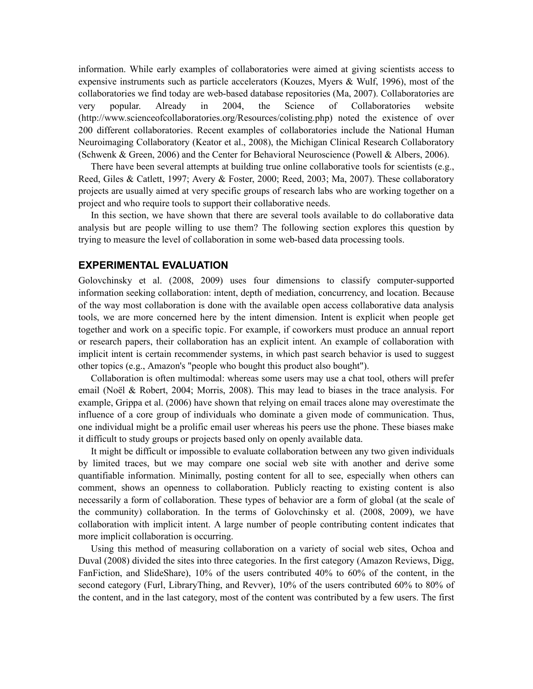information. While early examples of collaboratories were aimed at giving scientists access to expensive instruments such as particle accelerators (Kouzes, Myers & Wulf, 1996), most of the collaboratories we find today are web-based database repositories (Ma, 2007). Collaboratories are very popular. Already in 2004, the Science of Collaboratories website (http://www.scienceofcollaboratories.org/Resources/colisting.php) noted the existence of over 200 different collaboratories. Recent examples of collaboratories include the National Human Neuroimaging Collaboratory (Keator et al., 2008), the Michigan Clinical Research Collaboratory (Schwenk & Green, 2006) and the Center for Behavioral Neuroscience (Powell & Albers, 2006).

There have been several attempts at building true online collaborative tools for scientists (e.g., Reed, Giles & Catlett, 1997; Avery & Foster, 2000; Reed, 2003; Ma, 2007). These collaboratory projects are usually aimed at very specific groups of research labs who are working together on a project and who require tools to support their collaborative needs.

In this section, we have shown that there are several tools available to do collaborative data analysis but are people willing to use them? The following section explores this question by trying to measure the level of collaboration in some web-based data processing tools.

#### **EXPERIMENTAL EVALUATION**

Golovchinsky et al. (2008, 2009) uses four dimensions to classify computer-supported information seeking collaboration: intent, depth of mediation, concurrency, and location. Because of the way most collaboration is done with the available open access collaborative data analysis tools, we are more concerned here by the intent dimension. Intent is explicit when people get together and work on a specific topic. For example, if coworkers must produce an annual report or research papers, their collaboration has an explicit intent. An example of collaboration with implicit intent is certain recommender systems, in which past search behavior is used to suggest other topics (e.g., Amazon's "people who bought this product also bought").

Collaboration is often multimodal: whereas some users may use a chat tool, others will prefer email (Noël & Robert, 2004; Morris, 2008). This may lead to biases in the trace analysis. For example, Grippa et al. (2006) have shown that relying on email traces alone may overestimate the influence of a core group of individuals who dominate a given mode of communication. Thus, one individual might be a prolific email user whereas his peers use the phone. These biases make it difficult to study groups or projects based only on openly available data.

It might be difficult or impossible to evaluate collaboration between any two given individuals by limited traces, but we may compare one social web site with another and derive some quantifiable information. Minimally, posting content for all to see, especially when others can comment, shows an openness to collaboration. Publicly reacting to existing content is also necessarily a form of collaboration. These types of behavior are a form of global (at the scale of the community) collaboration. In the terms of Golovchinsky et al. (2008, 2009), we have collaboration with implicit intent. A large number of people contributing content indicates that more implicit collaboration is occurring.

Using this method of measuring collaboration on a variety of social web sites, Ochoa and Duval (2008) divided the sites into three categories. In the first category (Amazon Reviews, Digg, FanFiction, and SlideShare), 10% of the users contributed 40% to 60% of the content, in the second category (Furl, LibraryThing, and Revver), 10% of the users contributed 60% to 80% of the content, and in the last category, most of the content was contributed by a few users. The first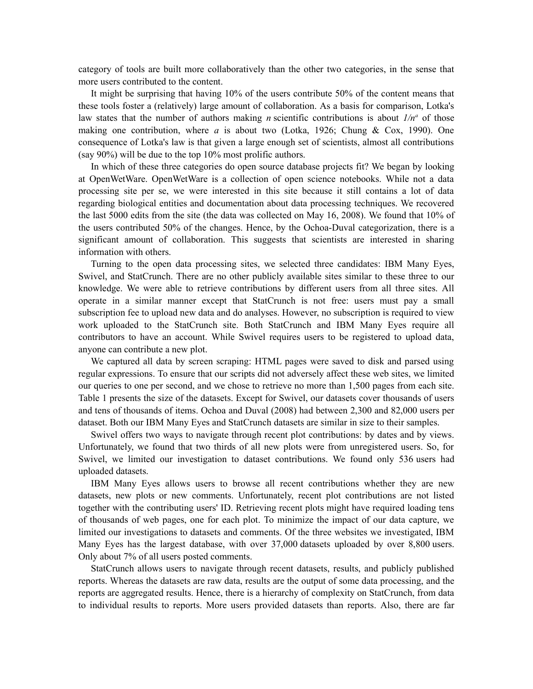category of tools are built more collaboratively than the other two categories, in the sense that more users contributed to the content.

It might be surprising that having 10% of the users contribute 50% of the content means that these tools foster a (relatively) large amount of collaboration. As a basis for comparison, Lotka's law states that the number of authors making *n* scientific contributions is about  $1/n<sup>a</sup>$  of those making one contribution, where *a* is about two (Lotka, 1926; Chung & Cox, 1990). One consequence of Lotka's law is that given a large enough set of scientists, almost all contributions (say 90%) will be due to the top 10% most prolific authors.

In which of these three categories do open source database projects fit? We began by looking at OpenWetWare. OpenWetWare is a collection of open science notebooks. While not a data processing site per se, we were interested in this site because it still contains a lot of data regarding biological entities and documentation about data processing techniques. We recovered the last 5000 edits from the site (the data was collected on May 16, 2008). We found that 10% of the users contributed 50% of the changes. Hence, by the Ochoa-Duval categorization, there is a significant amount of collaboration. This suggests that scientists are interested in sharing information with others.

Turning to the open data processing sites, we selected three candidates: IBM Many Eyes, Swivel, and StatCrunch. There are no other publicly available sites similar to these three to our knowledge. We were able to retrieve contributions by different users from all three sites. All operate in a similar manner except that StatCrunch is not free: users must pay a small subscription fee to upload new data and do analyses. However, no subscription is required to view work uploaded to the StatCrunch site. Both StatCrunch and IBM Many Eyes require all contributors to have an account. While Swivel requires users to be registered to upload data, anyone can contribute a new plot.

We captured all data by screen scraping: HTML pages were saved to disk and parsed using regular expressions. To ensure that our scripts did not adversely affect these web sites, we limited our queries to one per second, and we chose to retrieve no more than 1,500 pages from each site. Table 1 presents the size of the datasets. Except for Swivel, our datasets cover thousands of users and tens of thousands of items. Ochoa and Duval (2008) had between 2,300 and 82,000 users per dataset. Both our IBM Many Eyes and StatCrunch datasets are similar in size to their samples.

Swivel offers two ways to navigate through recent plot contributions: by dates and by views. Unfortunately, we found that two thirds of all new plots were from unregistered users. So, for Swivel, we limited our investigation to dataset contributions. We found only 536 users had uploaded datasets.

IBM Many Eyes allows users to browse all recent contributions whether they are new datasets, new plots or new comments. Unfortunately, recent plot contributions are not listed together with the contributing users' ID. Retrieving recent plots might have required loading tens of thousands of web pages, one for each plot. To minimize the impact of our data capture, we limited our investigations to datasets and comments. Of the three websites we investigated, IBM Many Eyes has the largest database, with over 37,000 datasets uploaded by over 8,800 users. Only about 7% of all users posted comments.

StatCrunch allows users to navigate through recent datasets, results, and publicly published reports. Whereas the datasets are raw data, results are the output of some data processing, and the reports are aggregated results. Hence, there is a hierarchy of complexity on StatCrunch, from data to individual results to reports. More users provided datasets than reports. Also, there are far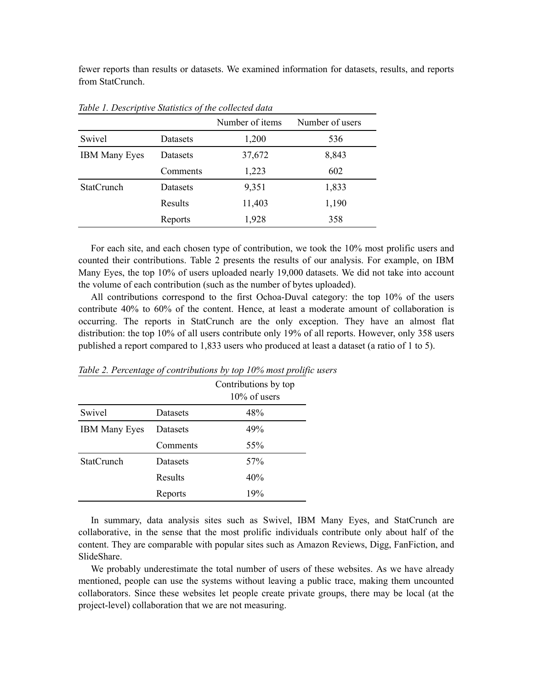fewer reports than results or datasets. We examined information for datasets, results, and reports from StatCrunch.

|                      |                 | Number of items | Number of users |
|----------------------|-----------------|-----------------|-----------------|
| Swivel               | Datasets        | 1,200           | 536             |
| <b>IBM Many Eyes</b> | <b>Datasets</b> | 37,672          | 8,843           |
|                      | Comments        | 1,223           | 602             |
| <b>StatCrunch</b>    | Datasets        | 9,351           | 1,833           |
|                      | Results         | 11,403          | 1,190           |
|                      | Reports         | 1,928           | 358             |

*Table 1. Descriptive Statistics of the collected data*

For each site, and each chosen type of contribution, we took the 10% most prolific users and counted their contributions. Table 2 presents the results of our analysis. For example, on IBM Many Eyes, the top 10% of users uploaded nearly 19,000 datasets. We did not take into account the volume of each contribution (such as the number of bytes uploaded).

All contributions correspond to the first Ochoa-Duval category: the top 10% of the users contribute 40% to 60% of the content. Hence, at least a moderate amount of collaboration is occurring. The reports in StatCrunch are the only exception. They have an almost flat distribution: the top 10% of all users contribute only 19% of all reports. However, only 358 users published a report compared to 1,833 users who produced at least a dataset (a ratio of 1 to 5).

|                      |                 | Contributions by top<br>$10\%$ of users |
|----------------------|-----------------|-----------------------------------------|
| Swivel               | Datasets        | 48%                                     |
| <b>IBM Many Eyes</b> | <b>Datasets</b> | 49%                                     |
|                      | Comments        | 55%                                     |
| <b>StatCrunch</b>    | <b>Datasets</b> | 57 <sub>%</sub>                         |
|                      | Results         | 40%                                     |
|                      | Reports         | 19%                                     |

*Table 2. Percentage of contributions by top 10% most prolific users*

In summary, data analysis sites such as Swivel, IBM Many Eyes, and StatCrunch are collaborative, in the sense that the most prolific individuals contribute only about half of the content. They are comparable with popular sites such as Amazon Reviews, Digg, FanFiction, and SlideShare.

We probably underestimate the total number of users of these websites. As we have already mentioned, people can use the systems without leaving a public trace, making them uncounted collaborators. Since these websites let people create private groups, there may be local (at the project-level) collaboration that we are not measuring.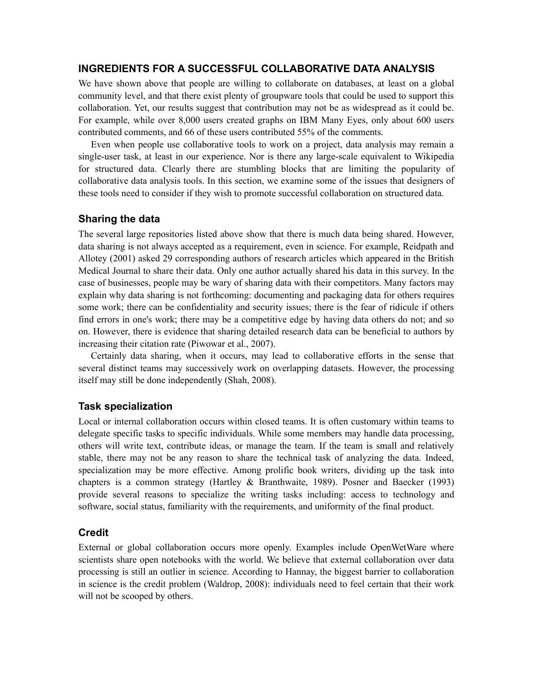## **INGREDIENTS FOR A SUCCESSFUL COLLABORATIVE DATA ANALYSIS**

We have shown above that people are willing to collaborate on databases, at least on a global community level, and that there exist plenty of groupware tools that could be used to support this collaboration. Yet, our results suggest that contribution may not be as widespread as it could be. For example, while over 8,000 users created graphs on IBM Many Eyes, only about 600 users contributed comments, and 66 of these users contributed 55% of the comments.

Even when people use collaborative tools to work on a project, data analysis may remain a single-user task, at least in our experience. Nor is there any large-scale equivalent to Wikipedia for structured data. Clearly there are stumbling blocks that are limiting the popularity of collaborative data analysis tools. In this section, we examine some of the issues that designers of these tools need to consider if they wish to promote successful collaboration on structured data.

## **Sharing the data**

The several large repositories listed above show that there is much data being shared. However, data sharing is not always accepted as a requirement, even in science. For example, Reidpath and Allotey (2001) asked 29 corresponding authors of research articles which appeared in the British Medical Journal to share their data. Only one author actually shared his data in this survey. In the case of businesses, people may be wary of sharing data with their competitors. Many factors may explain why data sharing is not forthcoming: documenting and packaging data for others requires some work; there can be confidentiality and security issues; there is the fear of ridicule if others find errors in one's work; there may be a competitive edge by having data others do not; and so on. However, there is evidence that sharing detailed research data can be beneficial to authors by increasing their citation rate (Piwowar et al., 2007).

Certainly data sharing, when it occurs, may lead to collaborative efforts in the sense that several distinct teams may successively work on overlapping datasets. However, the processing itself may still be done independently (Shah, 2008).

## **Task specialization**

Local or internal collaboration occurs within closed teams. It is often customary within teams to delegate specific tasks to specific individuals. While some members may handle data processing, others will write text, contribute ideas, or manage the team. If the team is small and relatively stable, there may not be any reason to share the technical task of analyzing the data. Indeed, specialization may be more effective. Among prolific book writers, dividing up the task into chapters is a common strategy (Hartley & Branthwaite, 1989). Posner and Baecker (1993) provide several reasons to specialize the writing tasks including: access to technology and software, social status, familiarity with the requirements, and uniformity of the final product.

## **Credit**

External or global collaboration occurs more openly. Examples include OpenWetWare where scientists share open notebooks with the world. We believe that external collaboration over data processing is still an outlier in science. According to Hannay, the biggest barrier to collaboration in science is the credit problem (Waldrop, 2008): individuals need to feel certain that their work will not be scooped by others.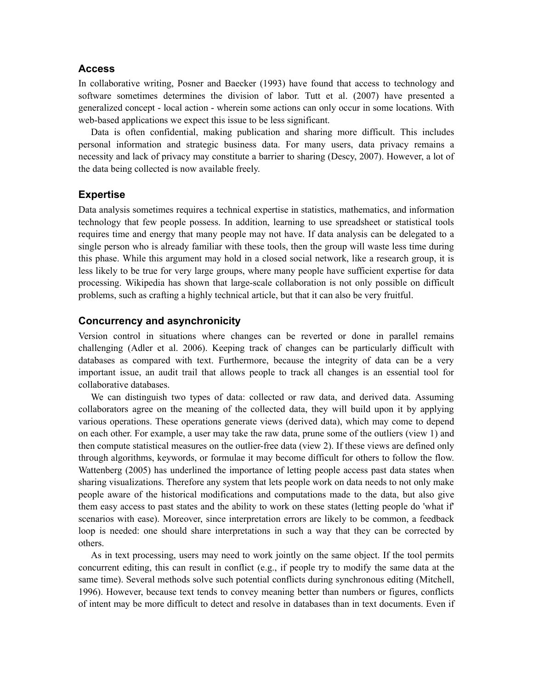## **Access**

In collaborative writing, Posner and Baecker (1993) have found that access to technology and software sometimes determines the division of labor. Tutt et al. (2007) have presented a generalized concept - local action - wherein some actions can only occur in some locations. With web-based applications we expect this issue to be less significant.

Data is often confidential, making publication and sharing more difficult. This includes personal information and strategic business data. For many users, data privacy remains a necessity and lack of privacy may constitute a barrier to sharing (Descy, 2007). However, a lot of the data being collected is now available freely.

#### **Expertise**

Data analysis sometimes requires a technical expertise in statistics, mathematics, and information technology that few people possess. In addition, learning to use spreadsheet or statistical tools requires time and energy that many people may not have. If data analysis can be delegated to a single person who is already familiar with these tools, then the group will waste less time during this phase. While this argument may hold in a closed social network, like a research group, it is less likely to be true for very large groups, where many people have sufficient expertise for data processing. Wikipedia has shown that large-scale collaboration is not only possible on difficult problems, such as crafting a highly technical article, but that it can also be very fruitful.

## **Concurrency and asynchronicity**

Version control in situations where changes can be reverted or done in parallel remains challenging (Adler et al. 2006). Keeping track of changes can be particularly difficult with databases as compared with text. Furthermore, because the integrity of data can be a very important issue, an audit trail that allows people to track all changes is an essential tool for collaborative databases.

We can distinguish two types of data: collected or raw data, and derived data. Assuming collaborators agree on the meaning of the collected data, they will build upon it by applying various operations. These operations generate views (derived data), which may come to depend on each other. For example, a user may take the raw data, prune some of the outliers (view 1) and then compute statistical measures on the outlier-free data (view 2). If these views are defined only through algorithms, keywords, or formulae it may become difficult for others to follow the flow. Wattenberg (2005) has underlined the importance of letting people access past data states when sharing visualizations. Therefore any system that lets people work on data needs to not only make people aware of the historical modifications and computations made to the data, but also give them easy access to past states and the ability to work on these states (letting people do 'what if' scenarios with ease). Moreover, since interpretation errors are likely to be common, a feedback loop is needed: one should share interpretations in such a way that they can be corrected by others.

As in text processing, users may need to work jointly on the same object. If the tool permits concurrent editing, this can result in conflict (e.g., if people try to modify the same data at the same time). Several methods solve such potential conflicts during synchronous editing (Mitchell, 1996). However, because text tends to convey meaning better than numbers or figures, conflicts of intent may be more difficult to detect and resolve in databases than in text documents. Even if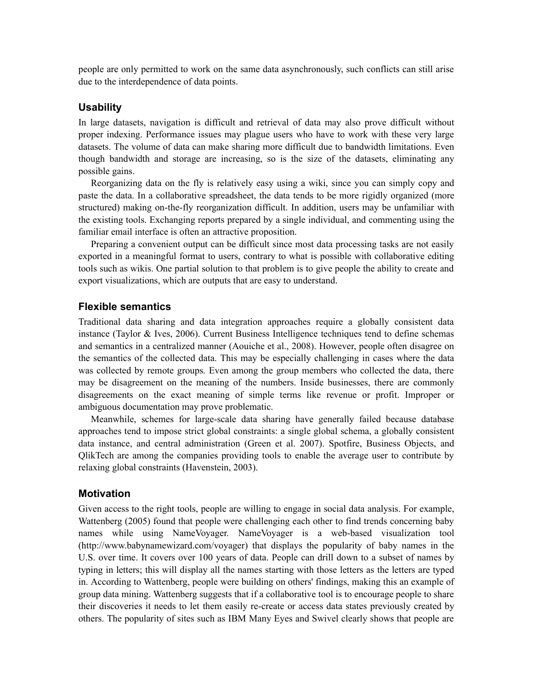people are only permitted to work on the same data asynchronously, such conflicts can still arise due to the interdependence of data points.

#### **Usability**

In large datasets, navigation is difficult and retrieval of data may also prove difficult without proper indexing. Performance issues may plague users who have to work with these very large datasets. The volume of data can make sharing more difficult due to bandwidth limitations. Even though bandwidth and storage are increasing, so is the size of the datasets, eliminating any possible gains.

Reorganizing data on the fly is relatively easy using a wiki, since you can simply copy and paste the data. In a collaborative spreadsheet, the data tends to be more rigidly organized (more structured) making on-the-fly reorganization difficult. In addition, users may be unfamiliar with the existing tools. Exchanging reports prepared by a single individual, and commenting using the familiar email interface is often an attractive proposition.

Preparing a convenient output can be difficult since most data processing tasks are not easily exported in a meaningful format to users, contrary to what is possible with collaborative editing tools such as wikis. One partial solution to that problem is to give people the ability to create and export visualizations, which are outputs that are easy to understand.

## **Flexible semantics**

Traditional data sharing and data integration approaches require a globally consistent data instance (Taylor  $\&$  Ives, 2006). Current Business Intelligence techniques tend to define schemas and semantics in a centralized manner (Aouiche et al., 2008). However, people often disagree on the semantics of the collected data. This may be especially challenging in cases where the data was collected by remote groups. Even among the group members who collected the data, there may be disagreement on the meaning of the numbers. Inside businesses, there are commonly disagreements on the exact meaning of simple terms like revenue or profit. Improper or ambiguous documentation may prove problematic.

Meanwhile, schemes for large-scale data sharing have generally failed because database approaches tend to impose strict global constraints: a single global schema, a globally consistent data instance, and central administration (Green et al. 2007). Spotfire, Business Objects, and QlikTech are among the companies providing tools to enable the average user to contribute by relaxing global constraints (Havenstein, 2003).

#### **Motivation**

Given access to the right tools, people are willing to engage in social data analysis. For example, Wattenberg (2005) found that people were challenging each other to find trends concerning baby names while using NameVoyager. NameVoyager is a web-based visualization tool (http://www.babynamewizard.com/voyager) that displays the popularity of baby names in the U.S. over time. It covers over 100 years of data. People can drill down to a subset of names by typing in letters; this will display all the names starting with those letters as the letters are typed in. According to Wattenberg, people were building on others' findings, making this an example of group data mining. Wattenberg suggests that if a collaborative tool is to encourage people to share their discoveries it needs to let them easily re-create or access data states previously created by others. The popularity of sites such as IBM Many Eyes and Swivel clearly shows that people are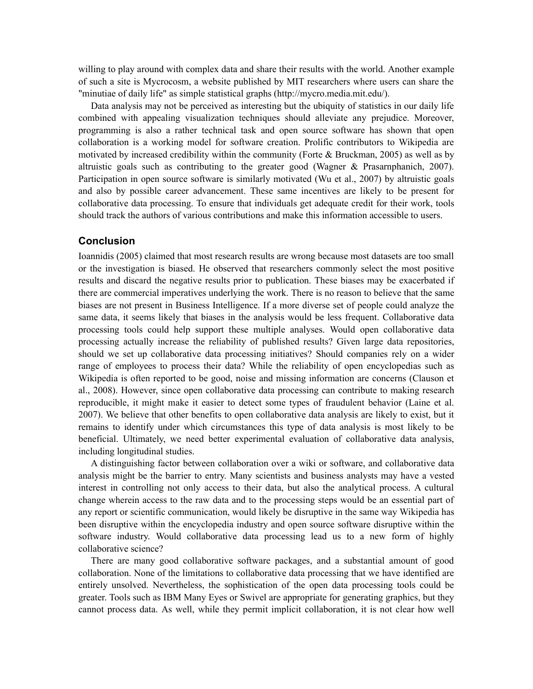willing to play around with complex data and share their results with the world. Another example of such a site is Mycrocosm, a website published by MIT researchers where users can share the "minutiae of daily life" as simple statistical graphs (http://mycro.media.mit.edu/).

Data analysis may not be perceived as interesting but the ubiquity of statistics in our daily life combined with appealing visualization techniques should alleviate any prejudice. Moreover, programming is also a rather technical task and open source software has shown that open collaboration is a working model for software creation. Prolific contributors to Wikipedia are motivated by increased credibility within the community (Forte  $\&$  Bruckman, 2005) as well as by altruistic goals such as contributing to the greater good (Wagner & Prasarnphanich, 2007). Participation in open source software is similarly motivated (Wu et al., 2007) by altruistic goals and also by possible career advancement. These same incentives are likely to be present for collaborative data processing. To ensure that individuals get adequate credit for their work, tools should track the authors of various contributions and make this information accessible to users.

#### **Conclusion**

Ioannidis (2005) claimed that most research results are wrong because most datasets are too small or the investigation is biased. He observed that researchers commonly select the most positive results and discard the negative results prior to publication. These biases may be exacerbated if there are commercial imperatives underlying the work. There is no reason to believe that the same biases are not present in Business Intelligence. If a more diverse set of people could analyze the same data, it seems likely that biases in the analysis would be less frequent. Collaborative data processing tools could help support these multiple analyses. Would open collaborative data processing actually increase the reliability of published results? Given large data repositories, should we set up collaborative data processing initiatives? Should companies rely on a wider range of employees to process their data? While the reliability of open encyclopedias such as Wikipedia is often reported to be good, noise and missing information are concerns (Clauson et al., 2008). However, since open collaborative data processing can contribute to making research reproducible, it might make it easier to detect some types of fraudulent behavior (Laine et al. 2007). We believe that other benefits to open collaborative data analysis are likely to exist, but it remains to identify under which circumstances this type of data analysis is most likely to be beneficial. Ultimately, we need better experimental evaluation of collaborative data analysis, including longitudinal studies.

A distinguishing factor between collaboration over a wiki or software, and collaborative data analysis might be the barrier to entry. Many scientists and business analysts may have a vested interest in controlling not only access to their data, but also the analytical process. A cultural change wherein access to the raw data and to the processing steps would be an essential part of any report or scientific communication, would likely be disruptive in the same way Wikipedia has been disruptive within the encyclopedia industry and open source software disruptive within the software industry. Would collaborative data processing lead us to a new form of highly collaborative science?

There are many good collaborative software packages, and a substantial amount of good collaboration. None of the limitations to collaborative data processing that we have identified are entirely unsolved. Nevertheless, the sophistication of the open data processing tools could be greater. Tools such as IBM Many Eyes or Swivel are appropriate for generating graphics, but they cannot process data. As well, while they permit implicit collaboration, it is not clear how well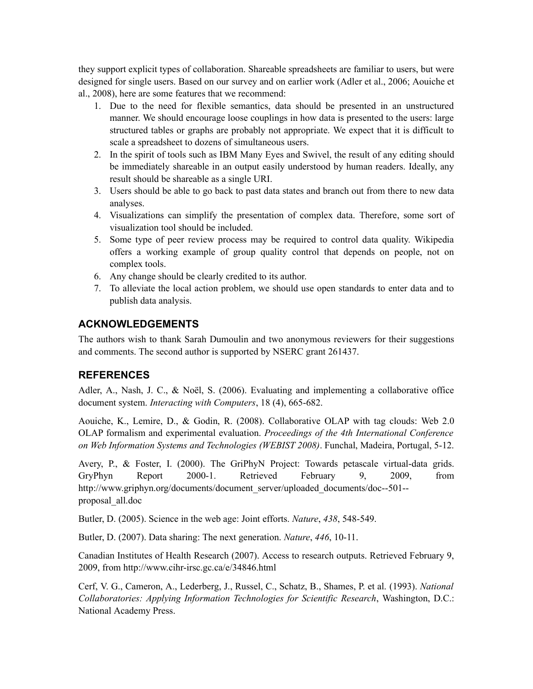they support explicit types of collaboration. Shareable spreadsheets are familiar to users, but were designed for single users. Based on our survey and on earlier work (Adler et al., 2006; Aouiche et al., 2008), here are some features that we recommend:

- 1. Due to the need for flexible semantics, data should be presented in an unstructured manner. We should encourage loose couplings in how data is presented to the users: large structured tables or graphs are probably not appropriate. We expect that it is difficult to scale a spreadsheet to dozens of simultaneous users.
- 2. In the spirit of tools such as IBM Many Eyes and Swivel, the result of any editing should be immediately shareable in an output easily understood by human readers. Ideally, any result should be shareable as a single URI.
- 3. Users should be able to go back to past data states and branch out from there to new data analyses.
- 4. Visualizations can simplify the presentation of complex data. Therefore, some sort of visualization tool should be included.
- 5. Some type of peer review process may be required to control data quality. Wikipedia offers a working example of group quality control that depends on people, not on complex tools.
- 6. Any change should be clearly credited to its author.
- 7. To alleviate the local action problem, we should use open standards to enter data and to publish data analysis.

# **ACKNOWLEDGEMENTS**

The authors wish to thank Sarah Dumoulin and two anonymous reviewers for their suggestions and comments. The second author is supported by NSERC grant 261437.

## **REFERENCES**

Adler, A., Nash, J. C., & Noël, S. (2006). Evaluating and implementing a collaborative office document system. *Interacting with Computers*, 18 (4), 665-682.

Aouiche, K., Lemire, D., & Godin, R. (2008). Collaborative OLAP with tag clouds: Web 2.0 OLAP formalism and experimental evaluation. *Proceedings of the 4th International Conference on Web Information Systems and Technologies (WEBIST 2008)*. Funchal, Madeira, Portugal, 5-12.

Avery, P., & Foster, I. (2000). The GriPhyN Project: Towards petascale virtual-data grids. GryPhyn Report 2000-1. Retrieved February 9, 2009, from [http://www.griphyn.org/documents/document\\_server/uploaded\\_documents/doc--501-](http://www.ivdgl.org/documents/document_server/uploaded_documents/doc--501--proposal_all.pdf) [proposal\\_all.doc](http://www.ivdgl.org/documents/document_server/uploaded_documents/doc--501--proposal_all.pdf)

Butler, D. (2005). Science in the web age: Joint efforts. *Nature*, *438*, 548-549.

Butler, D. (2007). Data sharing: The next generation. *Nature*, *446*, 10-11.

Canadian Institutes of Health Research (2007). Access to research outputs. Retrieved February 9, 2009, from http://www.cihr-irsc.gc.ca/e/34846.html

Cerf, V. G., Cameron, A., Lederberg, J., Russel, C., Schatz, B., Shames, P. et al. (1993). *National Collaboratories: Applying Information Technologies for Scientific Research*, Washington, D.C.: National Academy Press.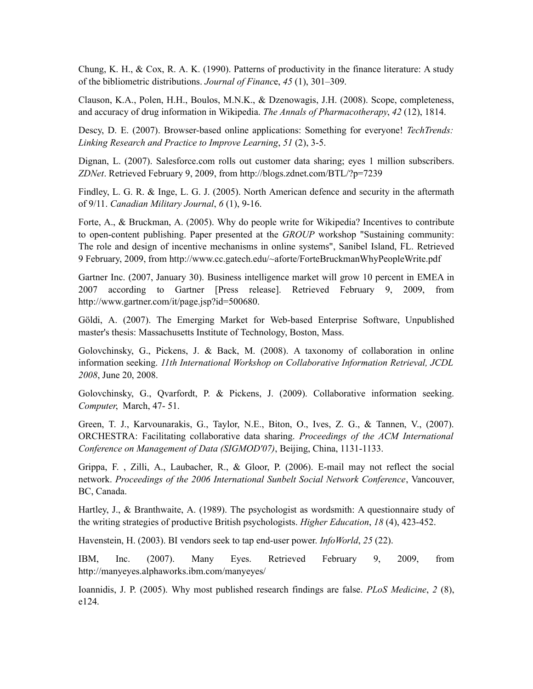Chung, K. H., & Cox, R. A. K. (1990). Patterns of productivity in the finance literature: A study of the bibliometric distributions. *Journal of Financ*e, *45* (1), 301–309.

Clauson, K.A., Polen, H.H., Boulos, M.N.K., & Dzenowagis, J.H. (2008). Scope, completeness, and accuracy of drug information in Wikipedia. *The Annals of Pharmacotherapy*, *42* (12), 1814.

Descy, D. E. (2007). Browser-based online applications: Something for everyone! *TechTrends: Linking Research and Practice to Improve Learning*, *51* (2), 3-5.

Dignan, L. (2007). Salesforce.com rolls out customer data sharing; eyes 1 million subscribers. *ZDNet*. Retrieved February 9, 2009, from http://blogs.zdnet.com/BTL/?p=7239

Findley, L. G. R. & Inge, L. G. J. (2005). North American defence and security in the aftermath of 9/11. *Canadian Military Journal*, *6* (1), 9-16.

Forte, A., & Bruckman, A. (2005). Why do people write for Wikipedia? Incentives to contribute to open-content publishing. Paper presented at the *GROUP* workshop "Sustaining community: The role and design of incentive mechanisms in online systems", Sanibel Island, FL. Retrieved 9 February, 2009, from http://www.cc.gatech.edu/~aforte/ForteBruckmanWhyPeopleWrite.pdf

Gartner Inc. (2007, January 30). Business intelligence market will grow 10 percent in EMEA in 2007 according to Gartner [Press release]. Retrieved February 9, 2009, from http://www.gartner.com/it/page.jsp?id=500680.

Göldi, A. (2007). The Emerging Market for Web-based Enterprise Software, Unpublished master's thesis: Massachusetts Institute of Technology, Boston, Mass.

Golovchinsky, G., Pickens, J. & Back, M. (2008). A taxonomy of collaboration in online information seeking. *11th International Workshop on Collaborative Information Retrieval, JCDL 2008*, June 20, 2008.

Golovchinsky, G., Qvarfordt, P. & Pickens, J. (2009). Collaborative information seeking. *Computer*, March, 47- 51.

Green, T. J., Karvounarakis, G., Taylor, N.E., Biton, O., Ives, Z. G., & Tannen, V., (2007). ORCHESTRA: Facilitating collaborative data sharing. *Proceedings of the ACM International Conference on Management of Data (SIGMOD'07)*, Beijing, China, 1131-1133.

Grippa, F. , Zilli, A., Laubacher, R., & Gloor, P. (2006). E-mail may not reflect the social network. *Proceedings of the 2006 International Sunbelt Social Network Conference*, Vancouver, BC, Canada.

Hartley, J., & Branthwaite, A. (1989). The psychologist as wordsmith: A questionnaire study of the writing strategies of productive British psychologists. *Higher Education*, *18* (4), 423-452.

Havenstein, H. (2003). BI vendors seek to tap end-user power. *InfoWorld*, *25* (22).

IBM, Inc. (2007). Many Eyes. Retrieved February 9, 2009, from http://manyeyes.alphaworks.ibm.com/manyeyes/

Ioannidis, J. P. (2005). Why most published research findings are false. *PLoS Medicine*, *2* (8), e124.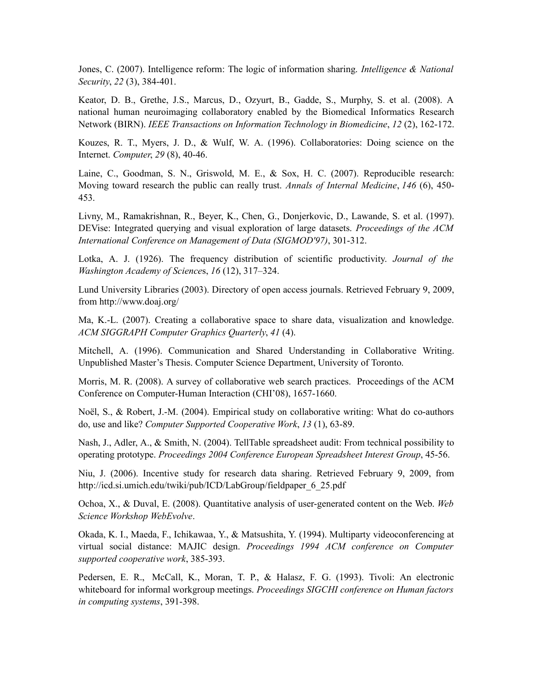Jones, C. (2007). Intelligence reform: The logic of information sharing. *Intelligence & National Security*, *22* (3), 384-401.

Keator, D. B., Grethe, J.S., Marcus, D., Ozyurt, B., Gadde, S., Murphy, S. et al. (2008). A national human neuroimaging collaboratory enabled by the Biomedical Informatics Research Network (BIRN). *IEEE Transactions on Information Technology in Biomedicine*, *12* (2), 162-172.

Kouzes, R. T., Myers, J. D., & Wulf, W. A. (1996). Collaboratories: Doing science on the Internet. *Computer*, *29* (8), 40-46.

Laine, C., Goodman, S. N., Griswold, M. E., & Sox, H. C. (2007). Reproducible research: Moving toward research the public can really trust. *Annals of Internal Medicine*, *146* (6), 450- 453.

Livny, M., Ramakrishnan, R., Beyer, K., Chen, G., Donjerkovic, D., Lawande, S. et al. (1997). DEVise: Integrated querying and visual exploration of large datasets. *Proceedings of the ACM International Conference on Management of Data (SIGMOD'97)*, 301-312.

Lotka, A. J. (1926). The frequency distribution of scientific productivity. *Journal of the Washington Academy of Science*s, *16* (12), 317–324.

Lund University Libraries (2003). Directory of open access journals. Retrieved February 9, 2009, from http://www.doaj.org/

Ma, K.-L. (2007). Creating a collaborative space to share data, visualization and knowledge. *ACM SIGGRAPH Computer Graphics Quarterly*, *41* (4).

Mitchell, A. (1996). Communication and Shared Understanding in Collaborative Writing. Unpublished Master's Thesis. Computer Science Department, University of Toronto.

Morris, M. R. (2008). A survey of collaborative web search practices. Proceedings of the ACM Conference on Computer-Human Interaction (CHI'08), 1657-1660.

Noël, S., & Robert, J.-M. (2004). Empirical study on collaborative writing: What do co-authors do, use and like? *Computer Supported Cooperative Work*, *13* (1), 63-89.

Nash, J., Adler, A., & Smith, N. (2004). TellTable spreadsheet audit: From technical possibility to operating prototype. *Proceedings 2004 Conference European Spreadsheet Interest Group*, 45-56.

Niu, J. (2006). Incentive study for research data sharing. Retrieved February 9, 2009, from http://icd.si.umich.edu/twiki/pub/ICD/LabGroup/fieldpaper\_6\_25.pdf

Ochoa, X., & Duval, E. (2008). Quantitative analysis of user-generated content on the Web. *Web Science Workshop WebEvolve*.

Okada, K. I., Maeda, F., Ichikawaa, Y., & Matsushita, Y. (1994). Multiparty videoconferencing at virtual social distance: MAJIC design. *Proceedings 1994 ACM conference on Computer supported cooperative work*, 385-393.

Pedersen, E. R., McCall, K., Moran, T. P., & Halasz, F. G. (1993). Tivoli: An electronic whiteboard for informal workgroup meetings. *Proceedings SIGCHI conference on Human factors in computing systems*, 391-398.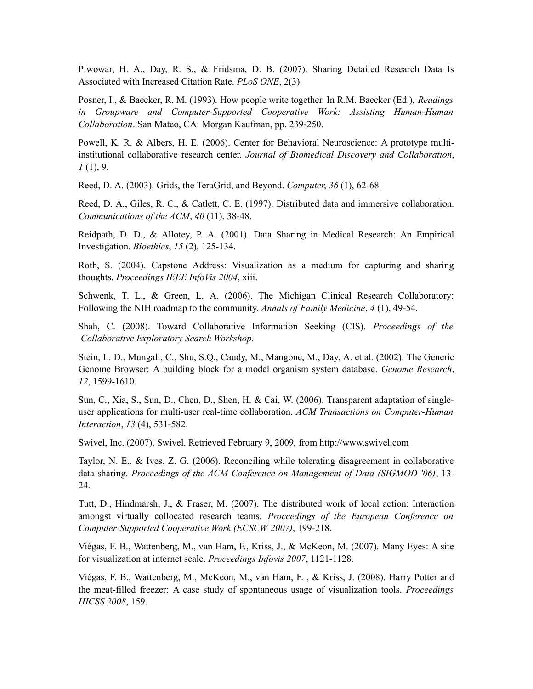Piwowar, H. A., Day, R. S., & Fridsma, D. B. (2007). Sharing Detailed Research Data Is Associated with Increased Citation Rate. *PLoS ONE*, 2(3).

Posner, I., & Baecker, R. M. (1993). How people write together. In R.M. Baecker (Ed.), *Readings in Groupware and Computer-Supported Cooperative Work: Assisting Human-Human Collaboration*. San Mateo, CA: Morgan Kaufman, pp. 239-250.

Powell, K. R. & Albers, H. E. (2006). Center for Behavioral Neuroscience: A prototype multiinstitutional collaborative research center. *Journal of Biomedical Discovery and Collaboration*, *1* (1), 9.

Reed, D. A. (2003). Grids, the TeraGrid, and Beyond. *Computer*, *36* (1), 62-68.

Reed, D. A., Giles, R. C., & Catlett, C. E. (1997). Distributed data and immersive collaboration. *Communications of the ACM*, *40* (11), 38-48.

Reidpath, D. D., & Allotey, P. A. (2001). Data Sharing in Medical Research: An Empirical Investigation. *Bioethics*, *15* (2), 125-134.

Roth, S. (2004). Capstone Address: Visualization as a medium for capturing and sharing thoughts. *Proceedings IEEE InfoVis 2004*, xiii.

Schwenk, T. L., & Green, L. A. (2006). The Michigan Clinical Research Collaboratory: Following the NIH roadmap to the community. *Annals of Family Medicine*, *4* (1), 49-54.

Shah, C. (2008). Toward Collaborative Information Seeking (CIS). *Proceedings of the Collaborative Exploratory Search Workshop*.

Stein, L. D., Mungall, C., Shu, S.Q., Caudy, M., Mangone, M., Day, A. et al. (2002). The Generic Genome Browser: A building block for a model organism system database. *Genome Research*, *12*, 1599-1610.

Sun, C., Xia, S., Sun, D., Chen, D., Shen, H. & Cai, W. (2006). Transparent adaptation of singleuser applications for multi-user real-time collaboration. *ACM Transactions on Computer-Human Interaction*, *13* (4), 531-582.

Swivel, Inc. (2007). Swivel. Retrieved February 9, 2009, from http://www.swivel.com

Taylor, N. E., & Ives, Z. G. (2006). Reconciling while tolerating disagreement in collaborative data sharing. *Proceedings of the ACM Conference on Management of Data (SIGMOD '06)*, 13- 24.

Tutt, D., Hindmarsh, J., & Fraser, M. (2007). The distributed work of local action: Interaction amongst virtually collocated research teams. *Proceedings of the European Conference on Computer-Supported Cooperative Work (ECSCW 2007)*, 199-218.

Viégas, F. B., Wattenberg, M., van Ham, F., Kriss, J., & McKeon, M. (2007). Many Eyes: A site for visualization at internet scale. *Proceedings Infovis 2007*, 1121-1128.

Viégas, F. B., Wattenberg, M., McKeon, M., van Ham, F. , & Kriss, J. (2008). Harry Potter and the meat-filled freezer: A case study of spontaneous usage of visualization tools. *Proceedings HICSS 2008*, 159.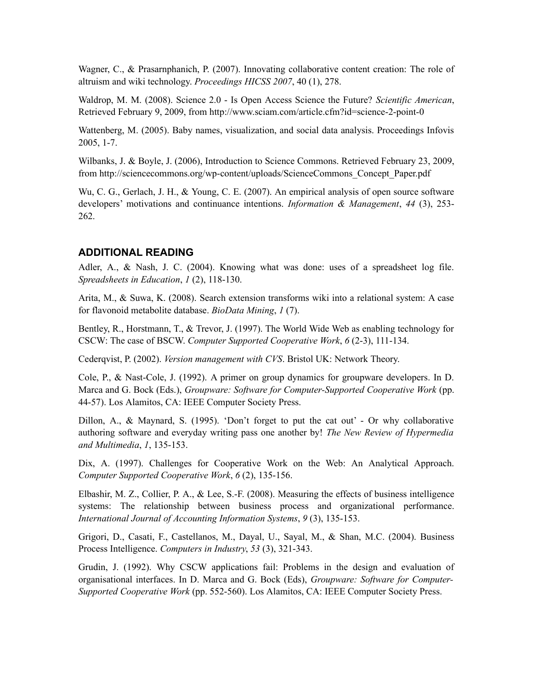Wagner, C., & Prasarnphanich, P. (2007). Innovating collaborative content creation: The role of altruism and wiki technology. *Proceedings HICSS 2007*, 40 (1), 278.

Waldrop, M. M. (2008). Science 2.0 - Is Open Access Science the Future? *Scientific American*, Retrieved February 9, 2009, from http://www.sciam.com/article.cfm?id=science-2-point-0

Wattenberg, M. (2005). Baby names, visualization, and social data analysis. Proceedings Infovis 2005, 1-7.

Wilbanks, J. & Boyle, J. (2006), Introduction to Science Commons. Retrieved February 23, 2009, from http://sciencecommons.org/wp-content/uploads/ScienceCommons\_Concept\_Paper.pdf

Wu, C. G., Gerlach, J. H., & Young, C. E. (2007). An empirical analysis of open source software developers' motivations and continuance intentions. *Information & Management*, *44* (3), 253- 262.

## **ADDITIONAL READING**

Adler, A., & Nash, J. C. (2004). Knowing what was done: uses of a spreadsheet log file. *Spreadsheets in Education*, *1* (2), 118-130.

Arita, M., & Suwa, K. (2008). Search extension transforms wiki into a relational system: A case for flavonoid metabolite database. *BioData Mining*, *1* (7).

Bentley, R., Horstmann, T., & Trevor, J. (1997). The World Wide Web as enabling technology for CSCW: The case of BSCW. *Computer Supported Cooperative Work*, *6* (2-3), 111-134.

Cederqvist, P. (2002). *Version management with CVS*. Bristol UK: Network Theory.

Cole, P., & Nast-Cole, J. (1992). A primer on group dynamics for groupware developers. In D. Marca and G. Bock (Eds.), *Groupware: Software for Computer-Supported Cooperative Work* (pp. 44-57). Los Alamitos, CA: IEEE Computer Society Press.

Dillon, A., & Maynard, S. (1995). 'Don't forget to put the cat out' - Or why collaborative authoring software and everyday writing pass one another by! *The New Review of Hypermedia and Multimedia*, *1*, 135-153.

Dix, A. (1997). Challenges for Cooperative Work on the Web: An Analytical Approach. *Computer Supported Cooperative Work*, *6* (2), 135-156.

Elbashir, M. Z., Collier, P. A., & Lee, S.-F. (2008). Measuring the effects of business intelligence systems: The relationship between business process and organizational performance. *International Journal of Accounting Information Systems*, *9* (3), 135-153.

Grigori, D., Casati, F., Castellanos, M., Dayal, U., Sayal, M., & Shan, M.C. (2004). Business Process Intelligence. *Computers in Industry*, *53* (3), 321-343.

Grudin, J. (1992). Why CSCW applications fail: Problems in the design and evaluation of organisational interfaces. In D. Marca and G. Bock (Eds), *Groupware: Software for Computer-Supported Cooperative Work* (pp. 552-560). Los Alamitos, CA: IEEE Computer Society Press.